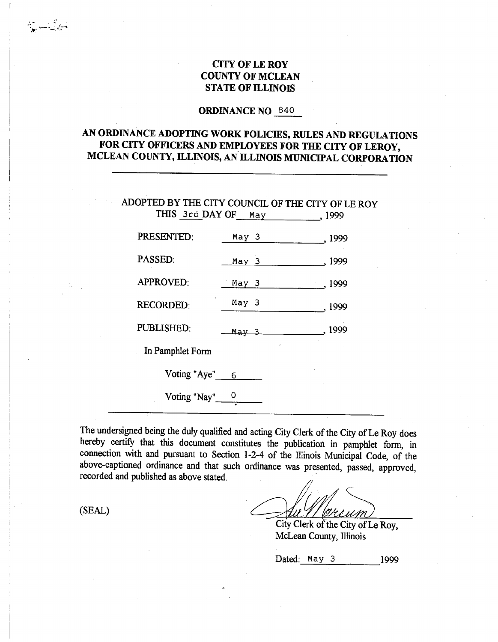## **CITY OF LE ROY COUNTY OF MCLEAN STATE OF ILLINOIS**

### **ORDINANCE NO** 840

# **AN ORDINANCE ADOPTING WORK POLICIES, RULES AND REGULATIONS FOR CITY OFFICERS AND EMPLOYEES FOR THE CITY OF LEROY, MCLEAN COUNTY, ILLINOIS, AN ILLINOIS MUNICIPAL CORPORATION**

**ADOPTED** BY THE CITY COUNCIL OF THE CITY OF LE ROY THIS 3rd DAY OF May , 1999 PRESENTED: May 3 , 1999 PASSED: <u>May 3</u> , 1999 APPROVED: May 3 1999 RECORDED: May 3 .1999 PUBLISHED: May 3 , 1999 In Pamphlet Form Voting "Aye"  $6$ Voting "Nay" $\frac{0}{1}$ 

The undersigned being the duly qualified and acting City Clerk of the City of Le Roy does hereby certify that this document constitutes the publication in pamphlet form, in connection with and pursuant to Section 1-2-4 of the Illinois Municipal Code, of the above-captioned ordinance and that such ordinance was presented, passed, approved, recorded and published as above stated.

 $(SEAL)$ 

نے اس کے بارے<br>1944ء کی سب کی ایک ا

KHIMM

City Clerk of the City of Le Roy, McLean County, Illinois

Dated: May 3 1999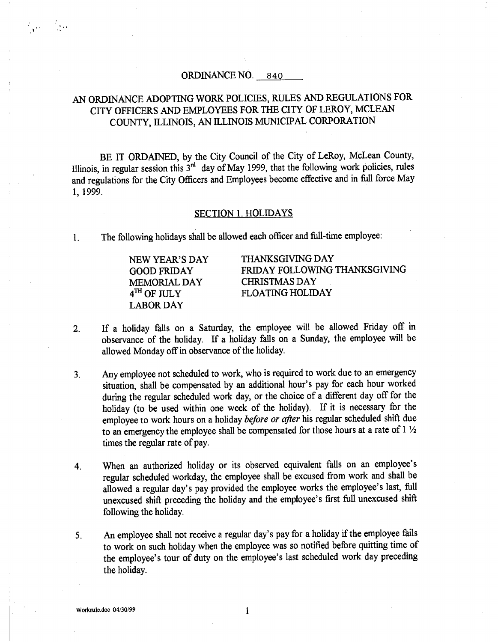### ORDINANCE NO. 840

# AN ORDINANCE ADOPTING WORK POLICIES, RULES AND REGULATIONS FOR CITY OFFICERS AND EMPLOYEES FOR THE CITY OF LEROY, MCLEAN COUNTY, ILLINOIS, AN ILLINOIS MUNICIPAL CORPORATION

BE IT ORDAINED, by the City Council of the City of LeRoy, McLean County, Illinois, in regular session this  $3<sup>rd</sup>$  day of May 1999, that the following work policies, rules and regulations for the City Officers and Employees become effective and in full force May 1, 1999.

### SECTION 1. HOLIDAYS

1. The following holidays shall be allowed each officer and full-time employee:

MEMORIAL DAY CHRISTMAS DAY LABOR DAY

 $\frac{1}{2}$  is a set of  $\frac{1}{2}$  in

NEW YEAR'S DAY THANKSGIVING DAY GOOD FRIDAY FRIDAY FOLLOWING THANKSGIVING 4<sup>TH</sup> OF JULY FLOATING HOLIDAY

- 2. If a holiday falls on a Saturday, the employee will be allowed Friday off in observance of the holiday. If a holiday falls on a Sunday, the employee will be allowed Monday off in observance of the holiday.
- Any employee not scheduled to work, who is required to work due to an emergency  $3<sub>1</sub>$ situation, shall be compensated by an additional hour's pay for each hour worked during the regular scheduled work day, or the choice of a different day off for the holiday (to be used within one week of the holiday). If it is necessary for the employee to work hours on a holiday *before or after* his regular scheduled shift due to an emergency the employee shall be compensated for those hours at a rate of 1  $\frac{1}{2}$ times the regular rate of pay.
- 4. When an authorized holiday or its observed equivalent falls on an employee's regular scheduled workday, the employee shall be excused from work and shall be allowed a regular day's pay provided the employee works the employee's last, full unexcused shift preceding the holiday and the employee's first full unexcused shift following the holiday.
- An employee shall not receive a regular day's pay for a holiday if the employee fails  $5<sub>1</sub>$ to work on such holiday when the employee was so notified before quitting time of the employee's tour of duty on the employee's last scheduled work day preceding the holiday.

 $\mathbf{1}$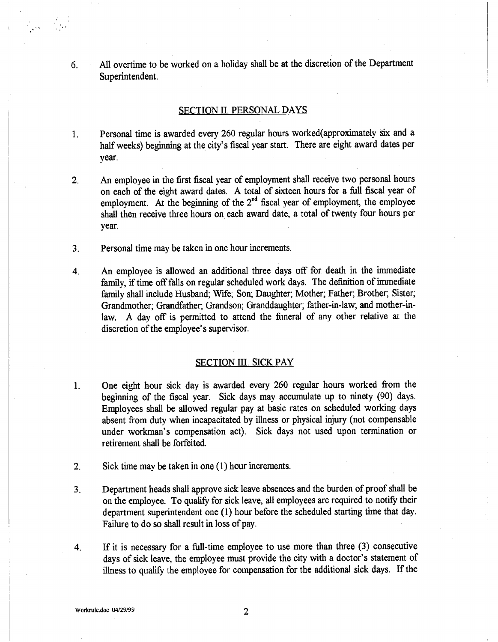6. All overtime to be worked on a holiday shall be at the discretion of the Department Superintendent.

### SECTION II. PERSONAL DAYS

- $1<sub>1</sub>$ Personal time is awarded every 260 regular hours worked(approximately six and a half weeks) beginning at the city's fiscal year start. There are eight award dates per year.
- 2. An employee in the first fiscal year of employment shall receive two personal hours on each of the eight award dates. A total of sixteen hours for a full fiscal year of employment. At the beginning of the  $2<sup>nd</sup>$  fiscal year of employment, the employee shall then receive three hours on each award date, a total of twenty four hours per year.
- 3. Personal time may be taken in one hour increments.
- 4. An employee is allowed an additional three days off for death in the immediate family, if time off falls on regular scheduled work days. The definition of immediate family shall include Husband; Wife; Son; Daughter; Mother; Father; Brother; Sister, Grandmother; Grandfather; Grandson; Granddaughter; father-in-law; and mother-inlaw. A day off is permitted to attend the funeral of any other relative at the discretion of the employee's supervisor.

### SECTION III. SICK PAY

- 1. One eight hour sick day is awarded every 260 regular hours worked from the beginning of the fiscal year. Sick days may accumulate up to ninety (90) days. Employees shall be allowed regular pay at basic rates on scheduled working days absent from duty when incapacitated by illness or physical injury (not compensable under workman's compensation act). Sick days not used upon termination or retirement shall be forfeited.
- 2. Sick time may be taken in one (1) hour increments.
- 3. Department heads shall approve sick leave absences and the burden of proof shall be on the employee. To qualify for sick leave, all employees are required to notify their department superintendent one (1) hour before the scheduled starting time that day. Failure to do so shall result in loss of pay.
- 4. If it is necessary for a full-time employee to use more than three (3) consecutive days of sick leave, the employee must provide the city with a doctor's statement of illness to qualify the employee for compensation for the additional sick days. If the

 $\frac{1}{2} \frac{1}{\sigma^2} \frac{1}{2} \frac{1}{\sigma^2} \frac{1}{\sigma^2} \frac{1}{\sigma^2} \frac{1}{\sigma^2} \frac{1}{\sigma^2}$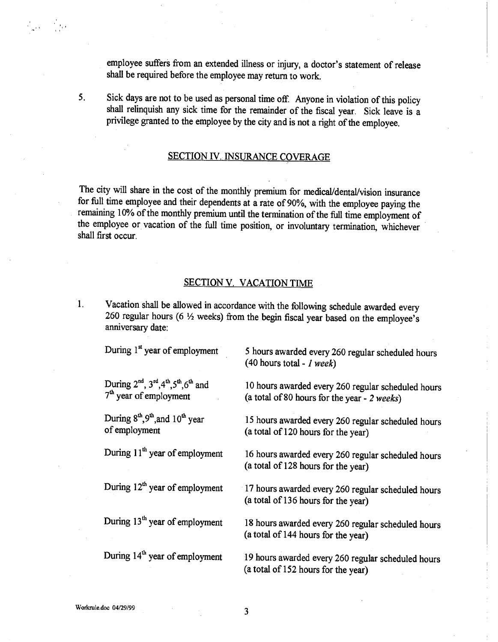employee suffers from an extended illness or injury, a doctor's statement of release shall be required before the employee may return to work.

 $5<sub>1</sub>$ 

San Silver

Sick days are not to be used as personal time off. Anyone in violation of this policy shall relinquish any sick time for the remainder of the fiscal year. Sick leave is a privilege granted to the employee by the city and is not a right of the employee.

### SECTION IV. INSURANCE COVERAGE

The city will share in the cost of the monthly premium for medical/dental/vision insurance for full time employee and their dependents at a rate of 90%, with the employee paying the remaining 10% of the monthly premium until the termination of the full time employment of the employee or vacation of the full time position, or involuntary termination, whichever shall first occur.

### SECTION V. VACATION TIME

Vacation shall be allowed in accordance with the following schedule awarded every  $\overline{1}$ . 260 regular hours (6  $\frac{1}{2}$  weeks) from the begin fiscal year based on the employee's anniversary date:

| During 1 <sup>st</sup> year of employment                                                   | 5 hours awarded every 260 regular scheduled hours<br>$(40$ hours total - <i>I</i> week)            |
|---------------------------------------------------------------------------------------------|----------------------------------------------------------------------------------------------------|
| During $2^{nd}$ , $3^{rd}$ , $4^{th}$ , $5^{th}$ , $6^{th}$ and<br>$7th$ year of employment | 10 hours awarded every 260 regular scheduled hours<br>(a total of 80 hours for the year - 2 weeks) |
| During 8 <sup>th</sup> , 9 <sup>th</sup> , and 10 <sup>th</sup> year<br>of employment       | 15 hours awarded every 260 regular scheduled hours<br>(a total of 120 hours for the year)          |
| During 11 <sup>th</sup> year of employment                                                  | 16 hours awarded every 260 regular scheduled hours<br>(a total of 128 hours for the year)          |
| During 12 <sup>th</sup> year of employment                                                  | 17 hours awarded every 260 regular scheduled hours<br>(a total of 136 hours for the year)          |
| During 13 <sup>th</sup> year of employment                                                  | 18 hours awarded every 260 regular scheduled hours<br>(a total of 144 hours for the year)          |
| During 14 <sup>th</sup> year of employment                                                  | 19 hours awarded every 260 regular scheduled hours<br>(a total of 152 hours for the year)          |

**Workrnle.doc 04/29/99** 

 $\mathbf{3}$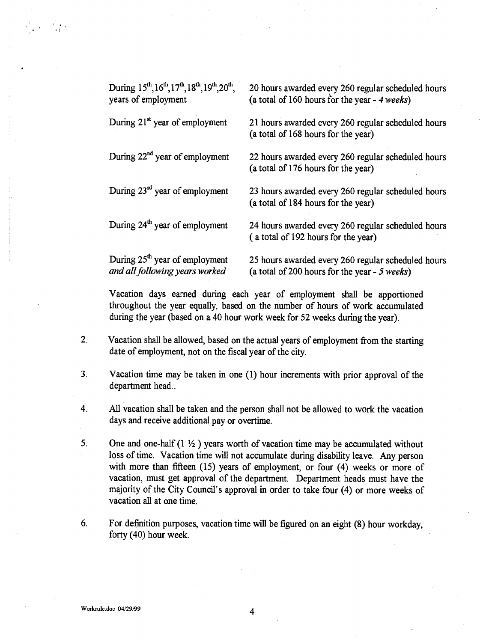| During 15 <sup>th</sup> , 16 <sup>th</sup> , 17 <sup>th</sup> , 18 <sup>th</sup> , 19 <sup>th</sup> , 20 <sup>th</sup> ,<br>years of employment | 20 hours awarded every 260 regular scheduled hours<br>(a total of 160 hours for the year $-4$ weeks) |
|-------------------------------------------------------------------------------------------------------------------------------------------------|------------------------------------------------------------------------------------------------------|
| During 21 <sup>st</sup> year of employment                                                                                                      | 21 hours awarded every 260 regular scheduled hours<br>(a total of 168 hours for the year)            |
| During 22 <sup>nd</sup> year of employment                                                                                                      | 22 hours awarded every 260 regular scheduled hours<br>(a total of 176 hours for the year)            |
| During 23rd year of employment                                                                                                                  | 23 hours awarded every 260 regular scheduled hours<br>(a total of 184 hours for the year)            |
| During 24 <sup>th</sup> year of employment                                                                                                      | 24 hours awarded every 260 regular scheduled hours<br>(a total of 192 hours for the year)            |
| During 25 <sup>th</sup> year of employment<br>and all following years worked                                                                    | 25 hours awarded every 260 regular scheduled hours<br>(a total of 200 hours for the year $-5$ weeks) |

Vacation days earned during each year of employment shall be apportioned throughout the year equally, based on the number of hours of work accumulated during the year (based on a 40 hour work week for 52 weeks during the year).

- 2. Vacation shall be allowed, based on the actual years of employment from the starting date of employment, not on the fiscal year of the city.
- 3. Vacation time may be taken in one (1) hour increments with prior approval of the department head..
- 4. All vacation shall be taken and the person shall not be allowed to work the vacation days and receive additional pay or overtime.
- 5. One and one-half  $(1 \frac{1}{2})$  years worth of vacation time may be accumulated without loss of time. Vacation time will not accumulate during disability leave. Any person with more than fifteen (15) years of employment, or four (4) weeks or more of vacation, must get approval of the department. Department heads must have the majority of the City Council's approval in order to take four (4) or more weeks of vacation all at one time.
- 6. For definition purposes, vacation time will be figured on an eight (8) hour workday, forty (40) hour week.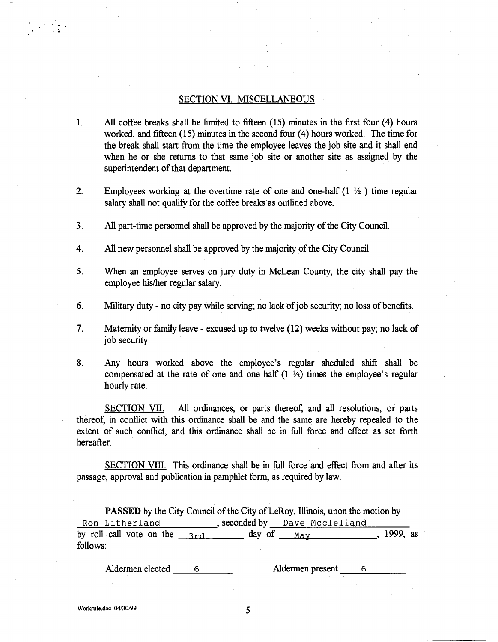### SECTION VI. MISCELLANEOUS

- 1. All coffee breaks shall be limited to fifteen (15) minutes in the first four (4) hours worked, and fifteen (15) minutes in the second four (4) hours worked. The time for the break shall start from the time the employee leaves the job site and it shall end when he or she returns to that same job site or another site as assigned by the superintendent of that department.
- 2. Employees working at the overtime rate of one and one-half  $(1 \frac{1}{2})$  time regular salary shall not qualify for the coffee breaks as outlined above.
- 3. All part-time personnel shall be approved by the majority of the City Council.
- 4. All new personnel shall be approved by the majority of the City Council.
- 5. When an employee serves on jury duty in McLean County, the city shall pay the employee his/her regular salary.
- 6. Military duty no city pay while serving; no lack of job security; no loss of benefits.
- 7. Maternity or family leave excused up to twelve (12) weeks without pay; no lack of job security.
- 8. Any hours worked above the employee's regular sheduled shift shall be compensated at the rate of one and one half  $(1 \frac{1}{2})$  times the employee's regular hourly rate.

SECTION VII. All ordinances, or parts thereof, and all resolutions, or parts thereof, in conflict with this ordinance shall be and the same are hereby repealed to the extent of such conflict, and this ordinance shall be in full force and effect as set forth hereafter.

SECTION VIII. This ordinance shall be in full force and effect from and after its passage, approval and publication in pamphlet form, as required by law.

**PASSED** by the City Council of the City of LeRoy, Illinois, upon the motion by Ron Litherland , seconded by Dave Mcclelland by roll call vote on the  $3rd$  day of  $May$ , 1999, as follows:

Aldermen elected 6 Aldermen present 6

 $\label{eq:2} \frac{1}{2} \left( \frac{1}{2} \right)^2 \left( \frac{1}{2} \right)^2$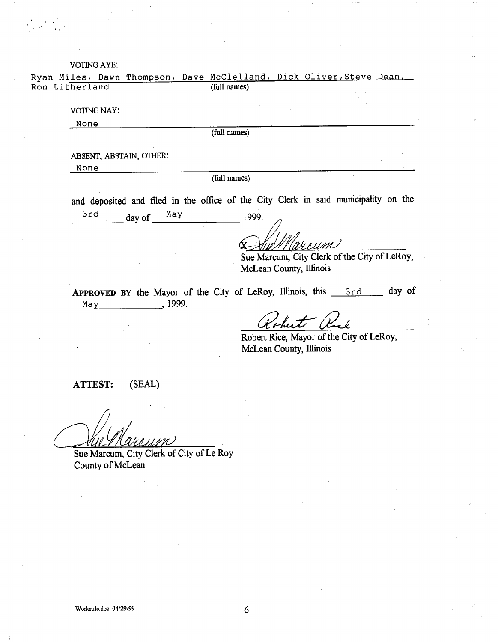#### VOTING AYE:

Ryan Miles, Dawn Thompson, Dave McClelland, Dick Oliver, Steve Dean,<br>Ron Litherland (full names) Ron Litherland

VOTING NAY:

None

(full names)

ABSENT, ABSTAIN, OTHER:

None

(full names)

and deposited and filed in the office of the City Clerk in said municipality on the  $3rd$  day of  $May$  1999.

WIIMI

Sue Marcum, City Clerk of the City of LeRoy, McLean County, Illinois

APPROVED BY the Mayor of the City of LeRoy, Illinois, this  $3rd$  day of May , 1999.

42a**cl'e-**

Robert Rice, Mayor of the City of LeRoy, McLean County, Illinois

**ATTEST:** (SEAL)

/ r,

Sue Marcum, City Clerk of City of Le Roy County of McLean

6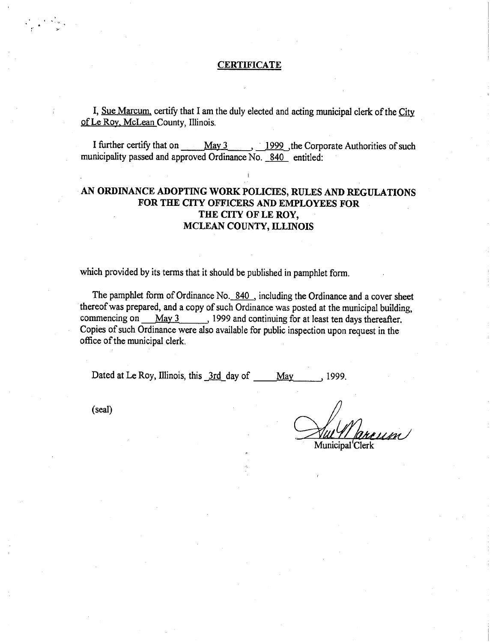### **CERTIFICATE**

I, Sue Marcum, certify that I am the duly elected and acting municipal clerk of the City of Le Roy, McLean County, Illinois.

I further certify that on May 3 1999, the Corporate Authorities of such municipality passed and approved Ordinance No. 840 entitled:

## AN ORDINANCE ADOPTING WORK POLICIES, RULES AND REGULATIONS FOR THE CITY OFFICERS AND EMPLOYEES FOR THE CITY OF LE ROY, MCLEAN COUNTY, ILLINOIS

which provided by its terms that it should be published in pamphlet form.

The pamphlet form of Ordinance No. 840 , including the Ordinance and a cover sheet thereof was prepared, and a copy of such Ordinance was posted at the municipal building, commencing on  $May 3$  1999 and continuing for at least ten days thereafter. Copies of such Ordinance were also available for public inspection upon request in the office of the municipal clerk.

Dated at Le Roy, Illinois, this  $\frac{3rd}{dx}$  day of May 1999.

(seal)

Municipal Clerk